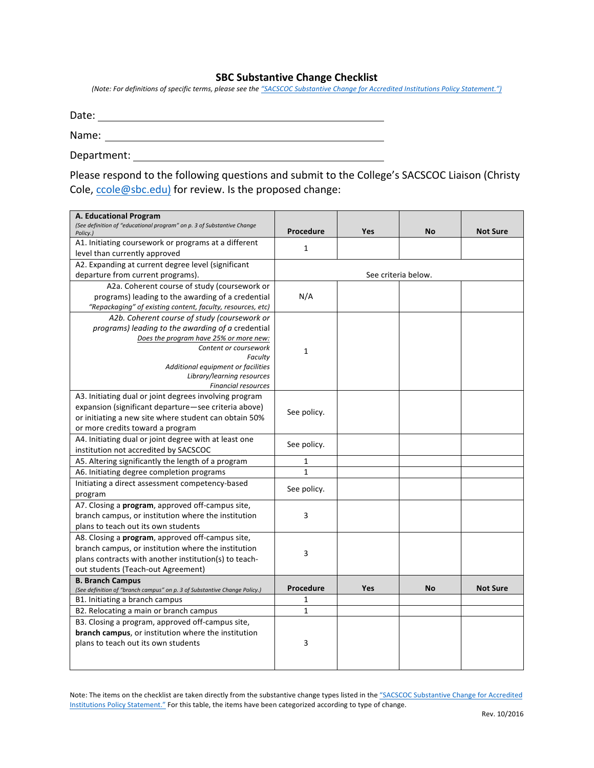## **SBC Substantive Change Checklist**

*(Note: For definitions of specific terms, please see the "SACSCOC Substantive Change for Accredited Institutions Policy Statement."*)

Date: 

Name: Name: 2008. All 2008. All 2008. All 2008. All 2008. All 2008. All 2008. All 2008. All 2008. All 2008. All 2008. All 2008. All 2008. All 2008. All 2008. All 2008. All 2008. All 2008. All 2008. All 2008. All 2008. All

Department: 

Please respond to the following questions and submit to the College's SACSCOC Liaison (Christy Cole, ccole@sbc.edu) for review. Is the proposed change:

| A. Educational Program                                                                               |              |            |                     |                 |
|------------------------------------------------------------------------------------------------------|--------------|------------|---------------------|-----------------|
| (See definition of "educational program" on p. 3 of Substantive Change<br>Policy.)                   | Procedure    | <b>Yes</b> | <b>No</b>           | <b>Not Sure</b> |
| A1. Initiating coursework or programs at a different                                                 | 1            |            |                     |                 |
| level than currently approved                                                                        |              |            |                     |                 |
| A2. Expanding at current degree level (significant                                                   |              |            |                     |                 |
| departure from current programs).                                                                    |              |            | See criteria below. |                 |
| A2a. Coherent course of study (coursework or                                                         |              |            |                     |                 |
| programs) leading to the awarding of a credential                                                    | N/A          |            |                     |                 |
| "Repackaging" of existing content, faculty, resources, etc)                                          |              |            |                     |                 |
| A2b. Coherent course of study (coursework or                                                         |              |            |                     |                 |
| programs) leading to the awarding of a credential                                                    |              |            |                     |                 |
| Does the program have 25% or more new:                                                               |              |            |                     |                 |
| Content or coursework                                                                                | 1            |            |                     |                 |
| Faculty                                                                                              |              |            |                     |                 |
| Additional equipment or facilities                                                                   |              |            |                     |                 |
| Library/learning resources<br><b>Financial resources</b>                                             |              |            |                     |                 |
| A3. Initiating dual or joint degrees involving program                                               |              |            |                     |                 |
| expansion (significant departure - see criteria above)                                               |              |            |                     |                 |
| or initiating a new site where student can obtain 50%                                                | See policy.  |            |                     |                 |
| or more credits toward a program                                                                     |              |            |                     |                 |
| A4. Initiating dual or joint degree with at least one                                                |              |            |                     |                 |
| institution not accredited by SACSCOC                                                                | See policy.  |            |                     |                 |
|                                                                                                      | 1            |            |                     |                 |
| A5. Altering significantly the length of a program                                                   | $\mathbf{1}$ |            |                     |                 |
| A6. Initiating degree completion programs                                                            |              |            |                     |                 |
| Initiating a direct assessment competency-based                                                      | See policy.  |            |                     |                 |
| program                                                                                              |              |            |                     |                 |
| A7. Closing a program, approved off-campus site,                                                     | 3            |            |                     |                 |
| branch campus, or institution where the institution                                                  |              |            |                     |                 |
| plans to teach out its own students                                                                  |              |            |                     |                 |
| A8. Closing a <b>program</b> , approved off-campus site,                                             | 3            |            |                     |                 |
| branch campus, or institution where the institution                                                  |              |            |                     |                 |
| plans contracts with another institution(s) to teach-                                                |              |            |                     |                 |
| out students (Teach-out Agreement)                                                                   |              |            |                     |                 |
| <b>B. Branch Campus</b><br>(See definition of "branch campus" on p. 3 of Substantive Change Policy.) | Procedure    | <b>Yes</b> | <b>No</b>           | <b>Not Sure</b> |
| B1. Initiating a branch campus                                                                       | 1            |            |                     |                 |
| B2. Relocating a main or branch campus                                                               | $\mathbf{1}$ |            |                     |                 |
| B3. Closing a program, approved off-campus site,                                                     |              |            |                     |                 |
| <b>branch campus</b> , or institution where the institution                                          |              |            |                     |                 |
| plans to teach out its own students                                                                  | 3            |            |                     |                 |
|                                                                                                      |              |            |                     |                 |
|                                                                                                      |              |            |                     |                 |

Note: The items on the checklist are taken directly from the substantive change types listed in the "SACSCOC Substantive Change for Accredited Institutions Policy Statement." For this table, the items have been categorized according to type of change.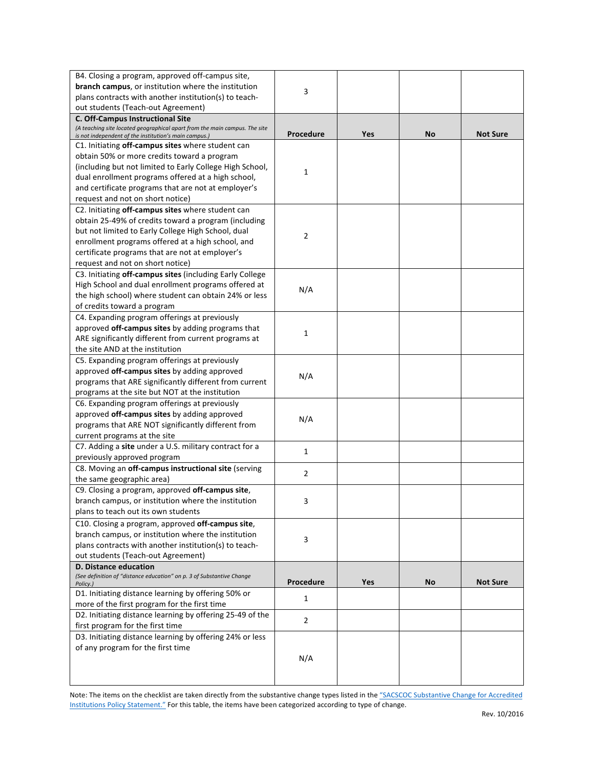| B4. Closing a program, approved off-campus site,<br>branch campus, or institution where the institution<br>plans contracts with another institution(s) to teach- | 3                |     |    |                 |
|------------------------------------------------------------------------------------------------------------------------------------------------------------------|------------------|-----|----|-----------------|
| out students (Teach-out Agreement)                                                                                                                               |                  |     |    |                 |
| C. Off-Campus Instructional Site                                                                                                                                 |                  |     |    |                 |
| (A teaching site located geographical apart from the main campus. The site                                                                                       |                  |     |    |                 |
| is not independent of the institution's main campus.)                                                                                                            | <b>Procedure</b> | Yes | No | <b>Not Sure</b> |
| C1. Initiating off-campus sites where student can                                                                                                                |                  |     |    |                 |
| obtain 50% or more credits toward a program                                                                                                                      |                  |     |    |                 |
| (including but not limited to Early College High School,                                                                                                         | 1                |     |    |                 |
| dual enrollment programs offered at a high school,                                                                                                               |                  |     |    |                 |
| and certificate programs that are not at employer's                                                                                                              |                  |     |    |                 |
| request and not on short notice)                                                                                                                                 |                  |     |    |                 |
| C2. Initiating off-campus sites where student can                                                                                                                |                  |     |    |                 |
| obtain 25-49% of credits toward a program (including                                                                                                             |                  |     |    |                 |
| but not limited to Early College High School, dual                                                                                                               | 2                |     |    |                 |
| enrollment programs offered at a high school, and                                                                                                                |                  |     |    |                 |
| certificate programs that are not at employer's<br>request and not on short notice)                                                                              |                  |     |    |                 |
|                                                                                                                                                                  |                  |     |    |                 |
| C3. Initiating off-campus sites (including Early College                                                                                                         |                  |     |    |                 |
| High School and dual enrollment programs offered at<br>the high school) where student can obtain 24% or less                                                     | N/A              |     |    |                 |
| of credits toward a program                                                                                                                                      |                  |     |    |                 |
| C4. Expanding program offerings at previously                                                                                                                    |                  |     |    |                 |
| approved off-campus sites by adding programs that                                                                                                                |                  |     |    |                 |
| ARE significantly different from current programs at                                                                                                             | 1                |     |    |                 |
| the site AND at the institution                                                                                                                                  |                  |     |    |                 |
| C5. Expanding program offerings at previously                                                                                                                    |                  |     |    |                 |
| approved off-campus sites by adding approved                                                                                                                     |                  |     |    |                 |
| programs that ARE significantly different from current                                                                                                           | N/A              |     |    |                 |
| programs at the site but NOT at the institution                                                                                                                  |                  |     |    |                 |
| C6. Expanding program offerings at previously                                                                                                                    |                  |     |    |                 |
| approved off-campus sites by adding approved                                                                                                                     |                  |     |    |                 |
| programs that ARE NOT significantly different from                                                                                                               | N/A              |     |    |                 |
| current programs at the site                                                                                                                                     |                  |     |    |                 |
| C7. Adding a site under a U.S. military contract for a                                                                                                           |                  |     |    |                 |
| previously approved program                                                                                                                                      | $\mathbf{1}$     |     |    |                 |
| C8. Moving an off-campus instructional site (serving                                                                                                             |                  |     |    |                 |
| the same geographic area)                                                                                                                                        | 2                |     |    |                 |
| C9. Closing a program, approved off-campus site,                                                                                                                 |                  |     |    |                 |
| branch campus, or institution where the institution                                                                                                              | 3                |     |    |                 |
| plans to teach out its own students                                                                                                                              |                  |     |    |                 |
| C10. Closing a program, approved off-campus site,                                                                                                                |                  |     |    |                 |
| branch campus, or institution where the institution                                                                                                              |                  |     |    |                 |
| plans contracts with another institution(s) to teach-                                                                                                            | 3                |     |    |                 |
| out students (Teach-out Agreement)                                                                                                                               |                  |     |    |                 |
| <b>D. Distance education</b>                                                                                                                                     |                  |     |    |                 |
| (See definition of "distance education" on p. 3 of Substantive Change                                                                                            |                  |     |    |                 |
| Policy.)                                                                                                                                                         | <b>Procedure</b> | Yes | No | <b>Not Sure</b> |
| D1. Initiating distance learning by offering 50% or<br>more of the first program for the first time                                                              | $\mathbf{1}$     |     |    |                 |
| D2. Initiating distance learning by offering 25-49 of the                                                                                                        |                  |     |    |                 |
| first program for the first time                                                                                                                                 | $\overline{2}$   |     |    |                 |
| D3. Initiating distance learning by offering 24% or less                                                                                                         |                  |     |    |                 |
| of any program for the first time                                                                                                                                |                  |     |    |                 |
|                                                                                                                                                                  | N/A              |     |    |                 |
|                                                                                                                                                                  |                  |     |    |                 |
|                                                                                                                                                                  |                  |     |    |                 |

Note: The items on the checklist are taken directly from the substantive change types listed in the "SACSCOC Substantive Change for Accredited Institutions Policy Statement." For this table, the items have been categorized according to type of change.